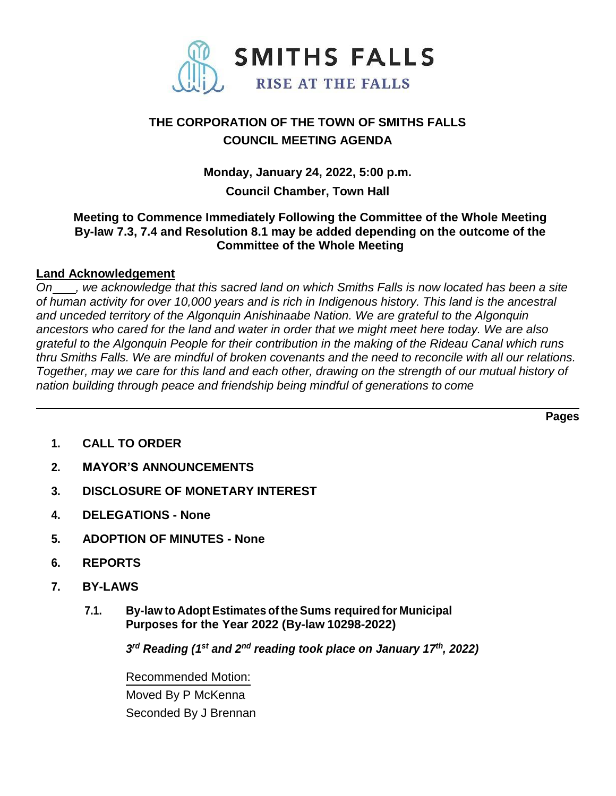

# **THE CORPORATION OF THE TOWN OF SMITHS FALLS COUNCIL MEETING AGENDA**

**Monday, January 24, 2022, 5:00 p.m.**

## **Council Chamber, Town Hall**

### **Meeting to Commence Immediately Following the Committee of the Whole Meeting By-law 7.3, 7.4 and Resolution 8.1 may be added depending on the outcome of the Committee of the Whole Meeting**

## **Land Acknowledgement**

*On , we acknowledge that this sacred land on which Smiths Falls is now located has been a site of human activity for over 10,000 years and is rich in Indigenous history. This land is the ancestral and unceded territory of the Algonquin Anishinaabe Nation. We are grateful to the Algonquin ancestors who cared for the land and water in order that we might meet here today. We are also grateful to the Algonquin People for their contribution in the making of the Rideau Canal which runs*  thru Smiths Falls. We are mindful of broken covenants and the need to reconcile with all our relations. *Together, may we care for this land and each other, drawing on the strength of our mutual history of nation building through peace and friendship being mindful of generations to come*

**Pages**

- **1. CALL TO ORDER**
- **2. MAYOR'S ANNOUNCEMENTS**
- **3. DISCLOSURE OF MONETARY INTEREST**
- **4. DELEGATIONS - None**
- **5. ADOPTION OF MINUTES - None**
- **6. REPORTS**
- **7. BY-LAWS**
	- **7.1. By-law to AdoptEstimates of the Sums required for Municipal Purposes for the Year 2022 (By-law 10298-2022)**

*3 rd Reading (1 st and 2nd reading took place on January 17th , 2022)*

Recommended Motion: Moved By P McKenna Seconded By J Brennan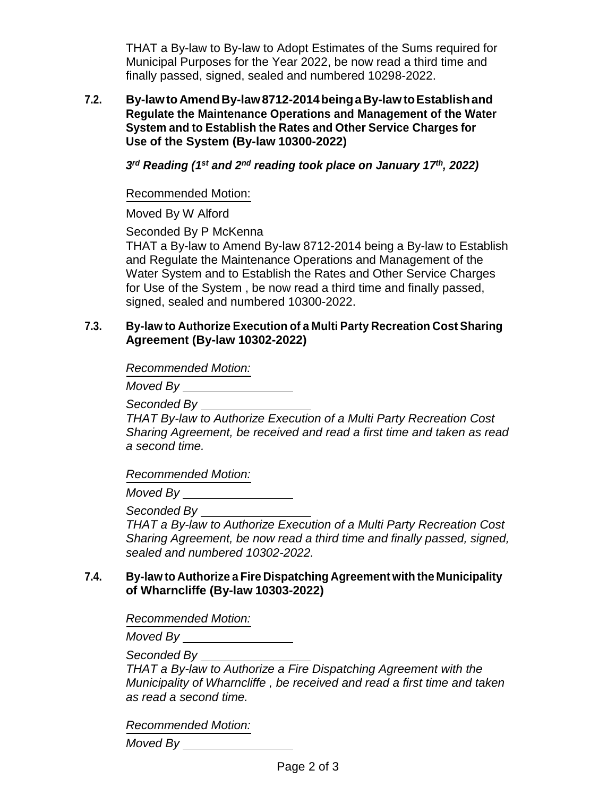THAT a By-law to By-law to Adopt Estimates of the Sums required for Municipal Purposes for the Year 2022, be now read a third time and finally passed, signed, sealed and numbered 10298-2022.

**7.2. By-lawtoAmendBy-law8712-2014beingaBy-lawtoEstablishand Regulate the Maintenance Operations and Management of the Water System and to Establish the Rates and Other Service Charges for Use of the System (By-law 10300-2022)**

*3 rd Reading (1 st and 2nd reading took place on January 17th , 2022)*

Recommended Motion:

Moved By W Alford

Seconded By P McKenna

THAT a By-law to Amend By-law 8712-2014 being a By-law to Establish and Regulate the Maintenance Operations and Management of the Water System and to Establish the Rates and Other Service Charges for Use of the System , be now read a third time and finally passed, signed, sealed and numbered 10300-2022.

#### **7.3. By-law to Authorize Execution of a Multi Party Recreation Cost Sharing Agreement (By-law 10302-2022)**

*Recommended Motion:*

*Moved By*

*Seconded By*

*THAT By-law to Authorize Execution of a Multi Party Recreation Cost Sharing Agreement, be received and read a first time and taken as read a second time.*

*Recommended Motion:*

*Moved By*

*Seconded By*

*THAT a By-law to Authorize Execution of a Multi Party Recreation Cost Sharing Agreement, be now read a third time and finally passed, signed, sealed and numbered 10302-2022.*

### **7.4. By-law to Authorize a Fire Dispatching Agreement with the Municipality of Wharncliffe (By-law 10303-2022)**

*Recommended Motion:*

*Moved By*

*Seconded By*

*THAT a By-law to Authorize a Fire Dispatching Agreement with the Municipality of Wharncliffe , be received and read a first time and taken as read a second time.*

*Recommended Motion:*

*Moved By*